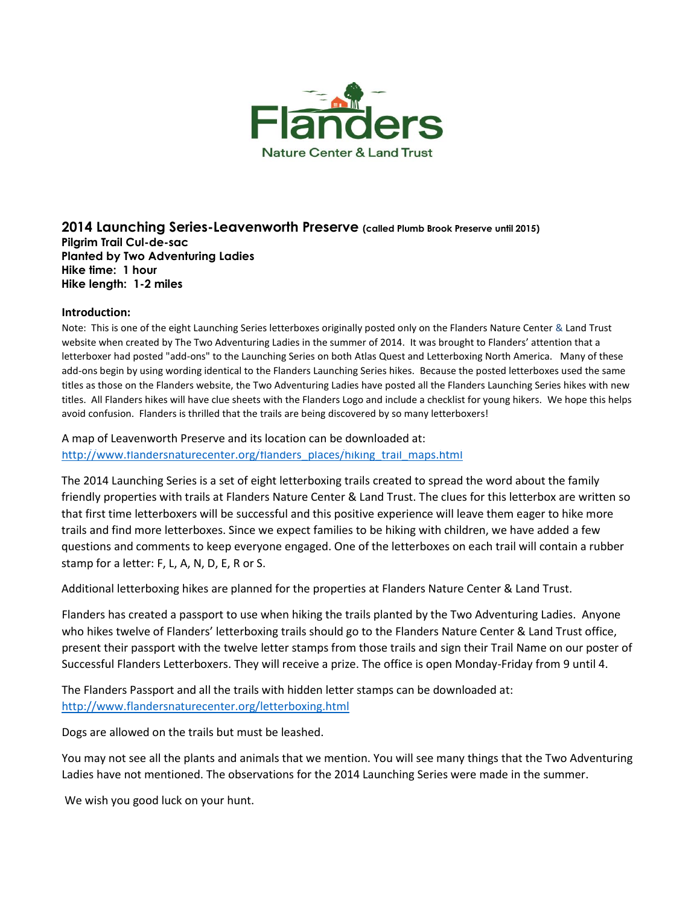

## **2014 Launching Series-Leavenworth Preserve (called Plumb Brook Preserve until 2015) Pilgrim Trail Cul-de-sac Planted by Two Adventuring Ladies Hike time: 1 hour Hike length: 1-2 miles**

#### **Introduction:**

Note: This is one of the eight Launching Series letterboxes originally posted only on the Flanders Nature Center & Land Trust website when created by The Two Adventuring Ladies in the summer of 2014. It was brought to Flanders' attention that a letterboxer had posted "add-ons" to the Launching Series on both Atlas Quest and Letterboxing North America. Many of these add-ons begin by using wording identical to the Flanders Launching Series hikes. Because the posted letterboxes used the same titles as those on the Flanders website, the Two Adventuring Ladies have posted all the Flanders Launching Series hikes with new titles. All Flanders hikes will have clue sheets with the Flanders Logo and include a checklist for young hikers. We hope this helps avoid confusion. Flanders is thrilled that the trails are being discovered by so many letterboxers!

A map of Leavenworth Preserve and its location can be downloaded at: [http://www.flandersnaturecenter.org/flanders\\_places/hiking\\_trail\\_maps.html](http://flandersnaturecenter.org/wp-content/uploads/2016/09/leavenworthpreserve.pdf)

The 2014 Launching Series is a set of eight letterboxing trails created to spread the word about the family friendly properties with trails at Flanders Nature Center & Land Trust. The clues for this letterbox are written so that first time letterboxers will be successful and this positive experience will leave them eager to hike more trails and find more letterboxes. Since we expect families to be hiking with children, we have added a few questions and comments to keep everyone engaged. One of the letterboxes on each trail will contain a rubber stamp for a letter: F, L, A, N, D, E, R or S.

Additional letterboxing hikes are planned for the properties at Flanders Nature Center & Land Trust.

Flanders has created a passport to use when hiking the trails planted by the Two Adventuring Ladies. Anyone who hikes twelve of Flanders' letterboxing trails should go to the Flanders Nature Center & Land Trust office, present their passport with the twelve letter stamps from those trails and sign their Trail Name on our poster of Successful Flanders Letterboxers. They will receive a prize. The office is open Monday-Friday from 9 until 4.

The Flanders Passport and all the trails with hidden letter stamps can be downloaded at: [http://www.flandersnaturecenter.org/letterboxing.html](http://flandersnaturecenter.org/letterboxing/)

Dogs are allowed on the trails but must be leashed.

You may not see all the plants and animals that we mention. You will see many things that the Two Adventuring Ladies have not mentioned. The observations for the 2014 Launching Series were made in the summer.

We wish you good luck on your hunt.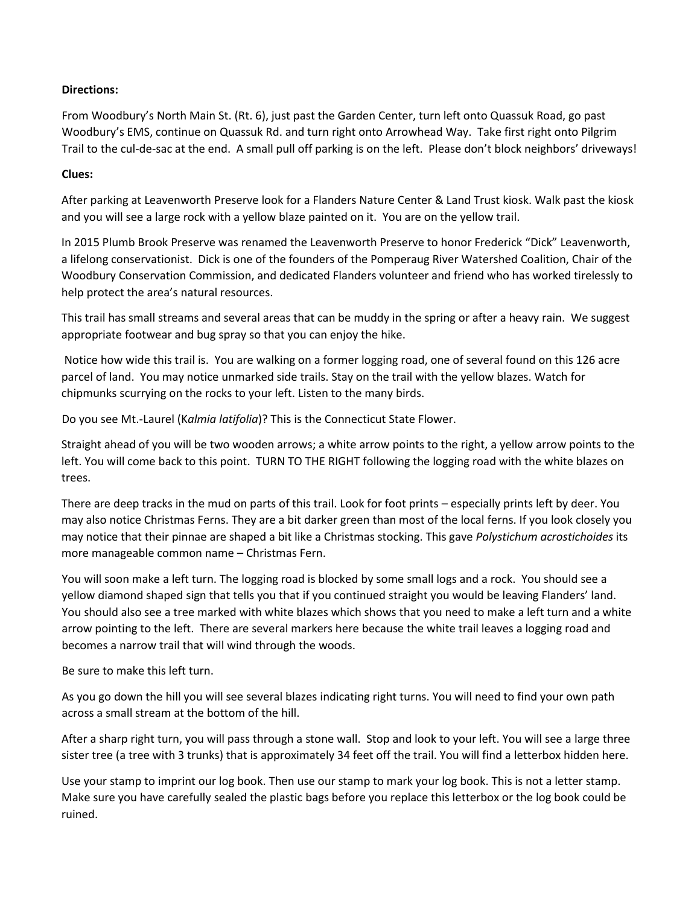# **Directions:**

From Woodbury's North Main St. (Rt. 6), just past the Garden Center, turn left onto Quassuk Road, go past Woodbury's EMS, continue on Quassuk Rd. and turn right onto Arrowhead Way. Take first right onto Pilgrim Trail to the cul-de-sac at the end. A small pull off parking is on the left. Please don't block neighbors' driveways!

## **Clues:**

After parking at Leavenworth Preserve look for a Flanders Nature Center & Land Trust kiosk. Walk past the kiosk and you will see a large rock with a yellow blaze painted on it. You are on the yellow trail.

In 2015 Plumb Brook Preserve was renamed the Leavenworth Preserve to honor Frederick "Dick" Leavenworth, a lifelong conservationist. Dick is one of the founders of the Pomperaug River Watershed Coalition, Chair of the Woodbury Conservation Commission, and dedicated Flanders volunteer and friend who has worked tirelessly to help protect the area's natural resources.

This trail has small streams and several areas that can be muddy in the spring or after a heavy rain. We suggest appropriate footwear and bug spray so that you can enjoy the hike.

Notice how wide this trail is. You are walking on a former logging road, one of several found on this 126 acre parcel of land. You may notice unmarked side trails. Stay on the trail with the yellow blazes. Watch for chipmunks scurrying on the rocks to your left. Listen to the many birds.

Do you see Mt.-Laurel (K*almia latifolia*)? This is the Connecticut State Flower.

Straight ahead of you will be two wooden arrows; a white arrow points to the right, a yellow arrow points to the left. You will come back to this point. TURN TO THE RIGHT following the logging road with the white blazes on trees.

There are deep tracks in the mud on parts of this trail. Look for foot prints – especially prints left by deer. You may also notice Christmas Ferns. They are a bit darker green than most of the local ferns. If you look closely you may notice that their pinnae are shaped a bit like a Christmas stocking. This gave *Polystichum acrostichoides* its more manageable common name – Christmas Fern.

You will soon make a left turn. The logging road is blocked by some small logs and a rock. You should see a yellow diamond shaped sign that tells you that if you continued straight you would be leaving Flanders' land. You should also see a tree marked with white blazes which shows that you need to make a left turn and a white arrow pointing to the left. There are several markers here because the white trail leaves a logging road and becomes a narrow trail that will wind through the woods.

Be sure to make this left turn.

As you go down the hill you will see several blazes indicating right turns. You will need to find your own path across a small stream at the bottom of the hill.

After a sharp right turn, you will pass through a stone wall. Stop and look to your left. You will see a large three sister tree (a tree with 3 trunks) that is approximately 34 feet off the trail. You will find a letterbox hidden here.

Use your stamp to imprint our log book. Then use our stamp to mark your log book. This is not a letter stamp. Make sure you have carefully sealed the plastic bags before you replace this letterbox or the log book could be ruined.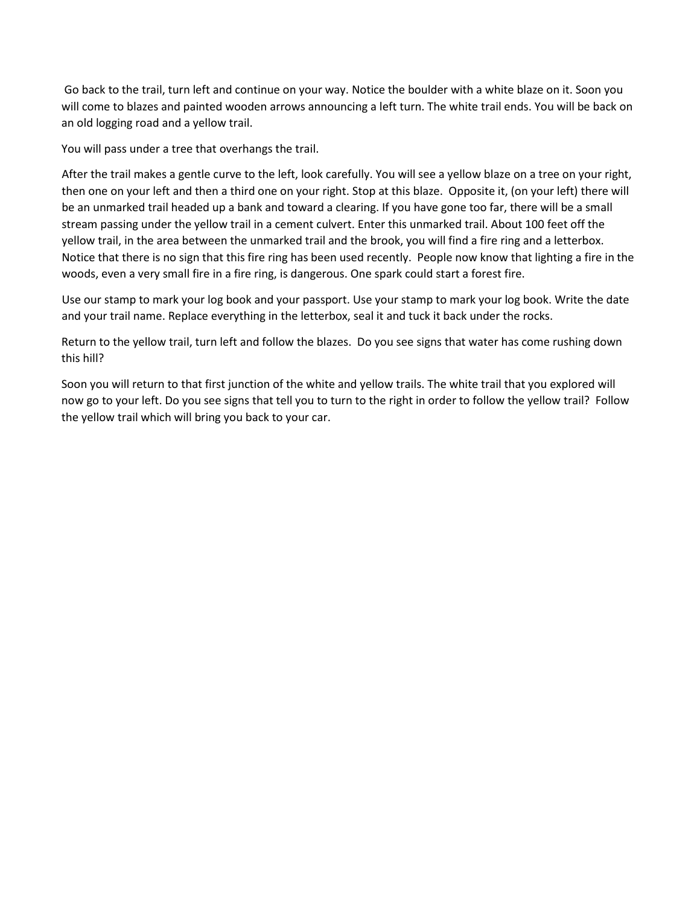Go back to the trail, turn left and continue on your way. Notice the boulder with a white blaze on it. Soon you will come to blazes and painted wooden arrows announcing a left turn. The white trail ends. You will be back on an old logging road and a yellow trail.

You will pass under a tree that overhangs the trail.

After the trail makes a gentle curve to the left, look carefully. You will see a yellow blaze on a tree on your right, then one on your left and then a third one on your right. Stop at this blaze. Opposite it, (on your left) there will be an unmarked trail headed up a bank and toward a clearing. If you have gone too far, there will be a small stream passing under the yellow trail in a cement culvert. Enter this unmarked trail. About 100 feet off the yellow trail, in the area between the unmarked trail and the brook, you will find a fire ring and a letterbox. Notice that there is no sign that this fire ring has been used recently. People now know that lighting a fire in the woods, even a very small fire in a fire ring, is dangerous. One spark could start a forest fire.

Use our stamp to mark your log book and your passport. Use your stamp to mark your log book. Write the date and your trail name. Replace everything in the letterbox, seal it and tuck it back under the rocks.

Return to the yellow trail, turn left and follow the blazes. Do you see signs that water has come rushing down this hill?

Soon you will return to that first junction of the white and yellow trails. The white trail that you explored will now go to your left. Do you see signs that tell you to turn to the right in order to follow the yellow trail? Follow the yellow trail which will bring you back to your car.